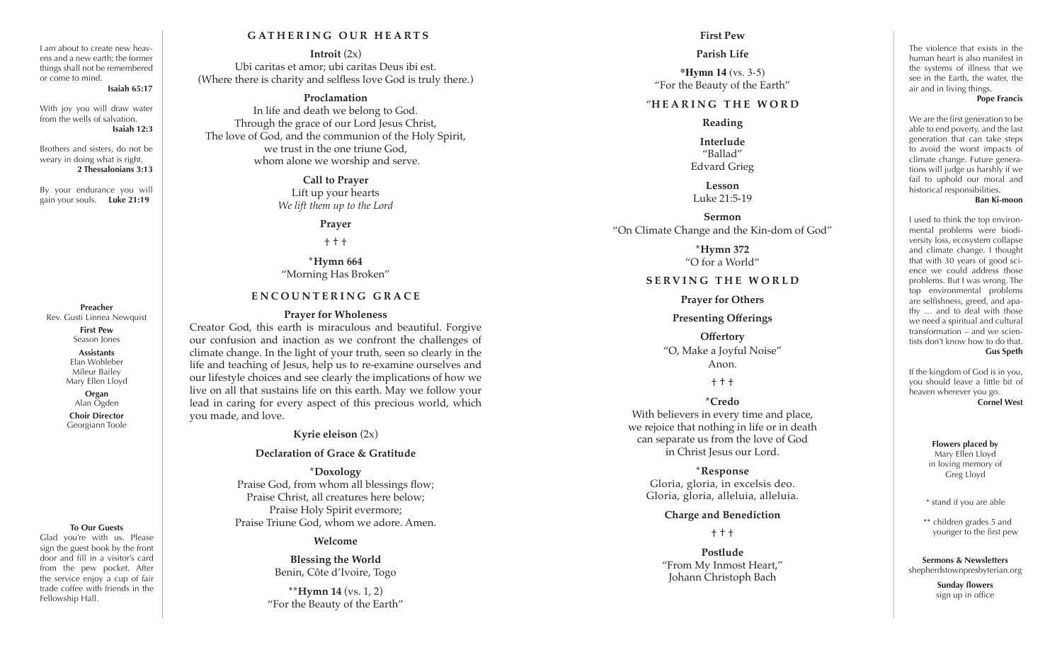#### I am about to create new heav ens and a new earth; the former things shall not be remembered or come to mind.

#### **Isaiah 65:17**

With joy you will draw water from the wells of salvation. **Isaiah 12:3**

Brothers and sisters, do not be weary in doing what is right. **2 Thessalonians 3:13**

By your endurance you will gain your souls. **Luke 21:19**

**Preacher** Rev. Gusti Linnea Newquist **First Pew**

Season Jones

**Assistants** Elan Wohleber Mileur Bailey Mary Ellen Lloyd

> **Organ** Alan Ogden

**Choir Director** Georgiann Toole

#### **To Our Guests**

Glad you're with us. Please sign the guest book by the front door and fill in a visitor's card from the pew pocket. After the service enjoy a cup of fair trade coffee with friends in the Fellowship Hall.

## **G AT H E R I N G O U R H E A R T S**

**Introit** (2x) Ubi caritas et amor; ubi caritas Deus ibi est. (Where there is charity and selfless love God is truly there.)

## **Proclamation**

In life and death we belong to God. Through the grace of our Lord Jesus Christ, The love of God, and the communion of the Holy Spirit, we trust in the one triune God, whom alone we worship and serve.

> **Call to Prayer** Lift up your hearts *We lift them up to the Lord*

## **Prayer**

† † †

**\*Hymn 664** "Morning Has Broken"

## **ENCOUNTERING GRACE**

#### **Prayer for Wholeness**

Creator God, this earth is miraculous and beautiful. Forgive our confusion and inaction as we confront the challenges of climate change. In the light of your truth, seen so clearly in the life and teaching of Jesus, help us to re-examine ourselves and our lifestyle choices and see clearly the implications of how we live on all that sustains life on this earth. May we follow your lead in caring for every aspect of this precious world, which you made, and love.

**Kyrie eleison** (2x)

## **Declaration of Grace & Gratitude**

**\*Doxology** Praise God, from whom all blessings flow; Praise Christ, all creatures here below; Praise Holy Spirit evermore; Praise Triune God, whom we adore. Amen.

### **Welcome**

**Blessing the World** Benin, Côte d'Ivoire, Togo

**\*\*Hymn 14** (vs. 1, 2) "For the Beauty of the Earth"

## **First Pew**

## **Parish Life**

**\*Hymn 14** (vs. 3-5) "For the Beauty of the Earth"

## "**HEARING THE WORD**

## **Reading**

**Interlude** "Ballad" Edvard Grieg

**Lesson** Luke 21:5-19

#### **Sermon**

"On Climate Change and the Kin-dom of God "

## **\*Hymn 372** "O for a World"

## **SERVING THE WORLD**

#### **Prayer for Others**

## **Presenting Offerings**

**Offertory** "O, Make a Joyful Noise" Anon.

## † † †

# **\*Credo**

With believers in every time and place, we rejoice that nothing in life or in death can separate us from the love of God in Christ Jesus our Lord.

**\*Response** Gloria, gloria, in excelsis deo. Gloria, gloria, alleluia, alleluia.

#### **Charge and Benediction**

† † †

**Postlude** "From My Inmost Heart," Johann Christoph Bach

The violence that exists in the human heart is also manifest in the systems of illness that we see in the Earth, the water, the air and in living things.

#### **Pope Francis**

We are the first generation to be able to end poverty, and the last generation that can take steps to avoid the worst impacts of climate change. Future genera tions will judge us harshly if we fail to uphold our moral and historical responsibilities.

#### **Ban Ki-moon**

I used to think the top environ mental problems were biodi versity loss, ecosystem collapse and climate change. I thought that with 30 years of good sci ence we could address those problems. But I was wrong. The top environmental problems are selfishness, greed, and apa thy … and to deal with those we need a spiritual and cultural transformation – and we scien tists don't know how to do that. **Gus Speth**

If the kingdom of God is in you, you should leave a little bit of heaven wherever you go. **Cornel West**

> **Flowers placed by** Mary Ellen Lloyd in loving memory of Greg Lloyd

\* stand if you are able

\*\* children grades 5 and younger to the first pew

**Sermons & Newsletters** shepherdstownpresbyterian.org

> **Sunday flowers** sign up in office